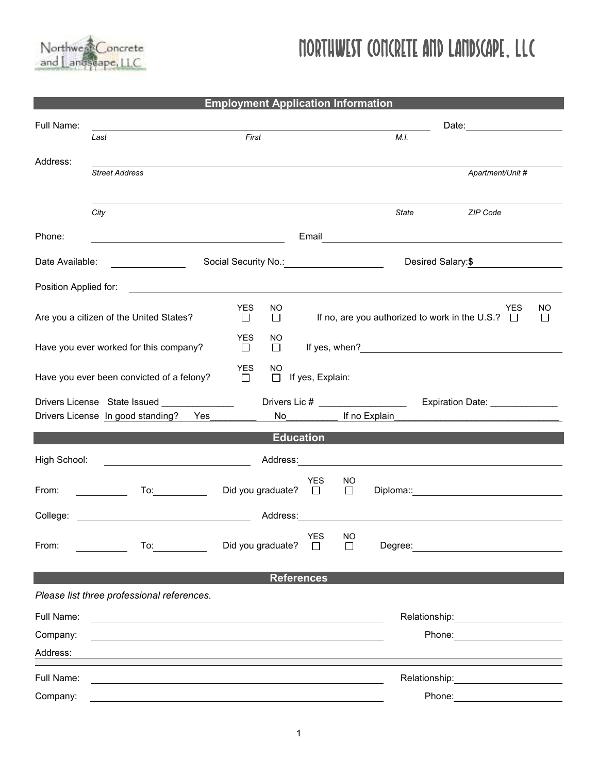

## Northwest Concrete and Landscape, LLC

| <b>Employment Application Information</b>                                                                 |                                                                                                                                                                                                                                |                                           |                                                                    |                           |       |                                                                                                                                                                                                                                |  |  |  |  |  |
|-----------------------------------------------------------------------------------------------------------|--------------------------------------------------------------------------------------------------------------------------------------------------------------------------------------------------------------------------------|-------------------------------------------|--------------------------------------------------------------------|---------------------------|-------|--------------------------------------------------------------------------------------------------------------------------------------------------------------------------------------------------------------------------------|--|--|--|--|--|
| Full Name:                                                                                                |                                                                                                                                                                                                                                |                                           |                                                                    |                           |       |                                                                                                                                                                                                                                |  |  |  |  |  |
|                                                                                                           | Last                                                                                                                                                                                                                           | First                                     |                                                                    |                           | M.I.  |                                                                                                                                                                                                                                |  |  |  |  |  |
| Address:                                                                                                  | <b>Street Address</b>                                                                                                                                                                                                          |                                           |                                                                    |                           |       | Apartment/Unit #                                                                                                                                                                                                               |  |  |  |  |  |
|                                                                                                           |                                                                                                                                                                                                                                |                                           |                                                                    |                           |       |                                                                                                                                                                                                                                |  |  |  |  |  |
|                                                                                                           | City                                                                                                                                                                                                                           |                                           |                                                                    |                           | State | ZIP Code                                                                                                                                                                                                                       |  |  |  |  |  |
| Phone:                                                                                                    | <u> 1989 - Johann Stoff, fransk politik (d. 1989)</u>                                                                                                                                                                          |                                           |                                                                    |                           |       | Email <u>______________________________</u>                                                                                                                                                                                    |  |  |  |  |  |
| Date Available:                                                                                           |                                                                                                                                                                                                                                |                                           |                                                                    |                           |       | Desired Salary: \$                                                                                                                                                                                                             |  |  |  |  |  |
|                                                                                                           |                                                                                                                                                                                                                                | Social Security No.: Social Security No.: |                                                                    |                           |       |                                                                                                                                                                                                                                |  |  |  |  |  |
| Position Applied for:                                                                                     | <u>and the state of the state of the state of the state of the state of the state of the state of the state of th</u>                                                                                                          |                                           |                                                                    |                           |       |                                                                                                                                                                                                                                |  |  |  |  |  |
|                                                                                                           | Are you a citizen of the United States?                                                                                                                                                                                        | <b>YES</b><br>NO.<br>$\Box$<br>$\Box$     | ΝO<br>YES<br>If no, are you authorized to work in the U.S.? $\Box$ |                           |       |                                                                                                                                                                                                                                |  |  |  |  |  |
| Have you ever worked for this company?                                                                    |                                                                                                                                                                                                                                | YES.<br>NO.<br>$\Box$<br>$\Box$           |                                                                    |                           |       |                                                                                                                                                                                                                                |  |  |  |  |  |
| <b>YES</b><br><b>NO</b><br>Have you ever been convicted of a felony?<br>$\Box$ If yes, Explain:<br>$\Box$ |                                                                                                                                                                                                                                |                                           |                                                                    |                           |       |                                                                                                                                                                                                                                |  |  |  |  |  |
| Drivers License State Issued _______________                                                              |                                                                                                                                                                                                                                |                                           |                                                                    |                           |       |                                                                                                                                                                                                                                |  |  |  |  |  |
|                                                                                                           | Drivers License In good standing?  Yes                                                                                                                                                                                         |                                           | No <sub>______________</sub> If no Explain_                        |                           |       |                                                                                                                                                                                                                                |  |  |  |  |  |
| <b>Education</b>                                                                                          |                                                                                                                                                                                                                                |                                           |                                                                    |                           |       |                                                                                                                                                                                                                                |  |  |  |  |  |
| High School:                                                                                              |                                                                                                                                                                                                                                | Address: Andreas Address:                 |                                                                    |                           |       |                                                                                                                                                                                                                                |  |  |  |  |  |
| From:                                                                                                     |                                                                                                                                                                                                                                | Did you graduate? $\square$               | <b>YES</b>                                                         | NO.<br>$\Box$             |       |                                                                                                                                                                                                                                |  |  |  |  |  |
| College:                                                                                                  |                                                                                                                                                                                                                                | Address:                                  |                                                                    |                           |       | <u> 1989 - Jan Barbara Barat, masa karena da</u>                                                                                                                                                                               |  |  |  |  |  |
| From:                                                                                                     | To: the contract of the contract of the contract of the contract of the contract of the contract of the contract of the contract of the contract of the contract of the contract of the contract of the contract of the contra | Did you graduate?                         | <b>YES</b><br>$\Box$                                               | <b>NO</b><br>$\mathsf{L}$ |       | Degree: <u>___________________________</u>                                                                                                                                                                                     |  |  |  |  |  |
|                                                                                                           |                                                                                                                                                                                                                                |                                           |                                                                    |                           |       |                                                                                                                                                                                                                                |  |  |  |  |  |
|                                                                                                           |                                                                                                                                                                                                                                | <b>References</b>                         |                                                                    |                           |       |                                                                                                                                                                                                                                |  |  |  |  |  |
|                                                                                                           | Please list three professional references.                                                                                                                                                                                     |                                           |                                                                    |                           |       |                                                                                                                                                                                                                                |  |  |  |  |  |
| Full Name:                                                                                                | <u> 1989 - Johann John Stone, markin film yn y brening yn y brening yn y brening yn y brening y brening yn y bre</u>                                                                                                           |                                           |                                                                    |                           |       | Relationship: example and the set of the set of the set of the set of the set of the set of the set of the set of the set of the set of the set of the set of the set of the set of the set of the set of the set of the set o |  |  |  |  |  |
| Company:                                                                                                  |                                                                                                                                                                                                                                |                                           |                                                                    |                           |       | Phone: <u>______</u> ________                                                                                                                                                                                                  |  |  |  |  |  |
| Address:                                                                                                  |                                                                                                                                                                                                                                |                                           |                                                                    |                           |       |                                                                                                                                                                                                                                |  |  |  |  |  |
| Full Name:                                                                                                |                                                                                                                                                                                                                                |                                           |                                                                    |                           |       |                                                                                                                                                                                                                                |  |  |  |  |  |
| Company:                                                                                                  | the control of the control of the control of the control of the control of the control of the control of the control of the control of the control of the control of the control of the control of the control of the control  |                                           |                                                                    |                           |       | Phone: <u>_______________</u>                                                                                                                                                                                                  |  |  |  |  |  |